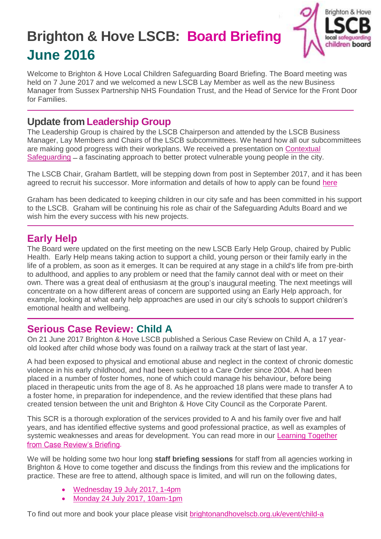# **Brighton & Hove LSCB: Board Briefing June 2016**



Welcome to Brighton & Hove Local Children Safeguarding Board Briefing. The Board meeting was held on 7 June 2017 and we welcomed a new LSCB Lay Member as well as the new Business Manager from Sussex Partnership NHS Foundation Trust, and the Head of Service for the Front Door for Families.

### **Update from Leadership Group**

The Leadership Group is chaired by the LSCB Chairperson and attended by the LSCB Business Manager, Lay Members and Chairs of the LSCB subcommittees. We heard how all our subcommittees are making good progress with their workplans. We received a presentation on [Contextual](https://contextualsafeguarding.org.uk/)  [Safeguarding](https://contextualsafeguarding.org.uk/) – a fascinating approach to better protect vulnerable young people in the city.

The LSCB Chair, Graham Bartlett, will be stepping down from post in September 2017, and it has been agreed to recruit his successor. More information and details of how to apply can be found [here](http://brightonandhovelscb.org.uk/join-us-lscb-independent-chair/)

Graham has been dedicated to keeping children in our city safe and has been committed in his support to the LSCB. Graham will be continuing his role as chair of the Safeguarding Adults Board and we wish him the every success with his new projects.

### **Early Help**

The Board were updated on the first meeting on the new LSCB Early Help Group, chaired by Public Health. Early Help means taking action to support a child, young person or their family early in the life of a problem, as soon as it emerges. It can be required at any stage in a child's life from pre-birth to adulthood, and applies to any problem or need that the family cannot deal with or meet on their own. There was a great deal of enthusiasm at the group's inaugural meeting. The next meetings will concentrate on a how different areas of concern are supported using an Early Help approach, for example, looking at what early help approaches are used in our city's schools to support children's emotional health and wellbeing.

### **Serious Case Review: Child A**

On 21 June 2017 Brighton & Hove LSCB published a Serious Case Review on Child A, a 17 yearold looked after child whose body was found on a railway track at the start of last year.

A had been exposed to physical and emotional abuse and neglect in the context of chronic domestic violence in his early childhood, and had been subject to a Care Order since 2004. A had been placed in a number of foster homes, none of which could manage his behaviour, before being placed in therapeutic units from the age of 8. As he approached 18 plans were made to transfer A to a foster home, in preparation for independence, and the review identified that these plans had created tension between the unit and Brighton & Hove City Council as the Corporate Parent.

This SCR is a thorough exploration of the services provided to A and his family over five and half years, and has identified effective systems and good professional practice, as well as examples of systemic weaknesses and areas for development. You can read more in our [Learning Together](http://brightonandhovelscb.org.uk/wp-content/uploads/Learning-Together-from-Case-Reviews-Child-A-SCR-1.pdf)  from Case Review's Briefing[.](http://brightonandhovelscb.org.uk/wp-content/uploads/Learning-Together-from-Case-Reviews-Child-A-SCR-1.pdf)

We will be holding some two hour long **staff briefing sessions** for staff from all agencies working in Brighton & Hove to come together and discuss the findings from this review and the implications for practice. These are free to attend, although space is limited, and will run on the following dates,

- [Wednesday 19 July 2017, 1-4pm](https://learning.brighton-hove.gov.uk/courses/bookings/c_detail.asp?cid=13390&iscancelled=0&curpage=&keyword=&ds=1&unconfirmed=&cs=&subid=&keystage=0&sdate=&searchcode=&asearch=&tutid=&estid=&sday=&smonth=&syear=&targetid=&cal=&calday=&calmonth=&calyear=&caldate=&submonth=&subyear=&list=&palist=&frompage=&a=&b=&c=&d=&s_leaid=)
- [Monday 24 July 2017, 10am-1pm](https://learning.brighton-hove.gov.uk/courses/bookings/c_detail.asp?cid=13389&iscancelled=0&curpage=&keyword=&ds=1&unconfirmed=&cs=&subid=&keystage=0&sdate=&searchcode=&asearch=&tutid=&estid=&sday=&smonth=&syear=&targetid=&cal=&calday=&calmonth=&calyear=&caldate=&submonth=&subyear=&list=&palist=&frompage=&a=&b=&c=&d=&s_leaid=)

To find out more and book your place please visit [brightonandhovelscb.org.uk/event/child-a](http://brightonandhovelscb.org.uk/event/child-a/)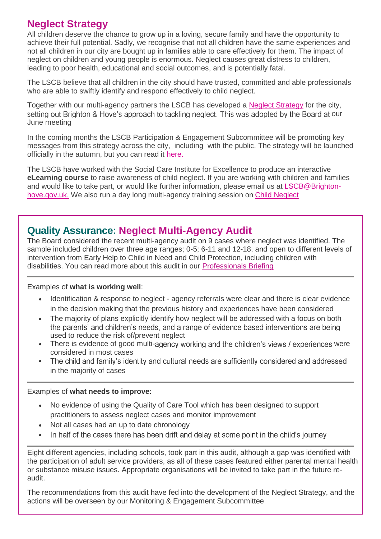### **Neglect Strategy**

All children deserve the chance to grow up in a loving, secure family and have the opportunity to achieve their full potential. Sadly, we recognise that not all children have the same experiences and not all children in our city are bought up in families able to care effectively for them. The impact of neglect on children and young people is enormous. Neglect causes great distress to children, leading to poor health, educational and social outcomes, and is potentially fatal.

The LSCB believe that all children in the city should have trusted, committed and able professionals who are able to swiftly identify and respond effectively to child neglect.

Together with our multi-agency partners the LSCB has developed a [Neglect Strategy](http://brightonandhovelscb.org.uk/wp-content/uploads/LSCB-Neglect-Strategy-2017-Final.pdf) for the city, setting out Brighton & Hove's approach to tackling neglect. This was adopted by the Board at our June meeting

In the coming months the LSCB Participation & Engagement Subcommittee will be promoting key messages from this strategy across the city, including with the public. The strategy will be launched officially in the autumn, but you can read it [here.](http://brightonandhovelscb.org.uk/wp-content/uploads/LSCB-Neglect-Strategy-2017-Final.pdf)

The LSCB have worked with the Social Care Institute for Excellence to produce an interactive **eLearning course** to raise awareness of child neglect. If you are working with children and families and would like to take part, or would like further information, please email us at [LSCB@Brighton](mailto:LSCB@Brighton-hove.gov.uk)[hove.gov.uk.](mailto:LSCB@Brighton-hove.gov.uk) We also run a day long multi-agency training session on [Child Neglect](http://brightonandhovelscb.org.uk/event/child-neglect-training/)

### **Quality Assurance: Neglect Multi-Agency Audit**

The Board considered the recent multi-agency audit on 9 cases where neglect was identified. The sample included children over three age ranges; 0-5; 6-11 and 12-18, and open to different levels of intervention from Early Help to Child in Need and Child Protection, including children with disabilities. You can read more about this audit in our [Professionals Briefing](http://brightonandhovelscb.org.uk/wp-content/uploads/NEGLECT-AUDIT-BRIEFING.pdf)

#### Examples of **what is working well**:

- Identification & response to neglect agency referrals were clear and there is clear evidence in the decision making that the previous history and experiences have been considered
- The majority of plans explicitly identify how neglect will be addressed with a focus on both the parents' and children's needs, and a range of evidence based interventions are being used to reduce the risk of/prevent neglect
- There is evidence of good multi-agency working and the children's views / experiences were considered in most cases
- The child and family's identity and cultural needs are sufficiently considered and addressed  $\bullet$ in the majority of cases

#### Examples of **what needs to improve**:

- No evidence of using the Quality of Care Tool which has been designed to support practitioners to assess neglect cases and monitor improvement
- Not all cases had an up to date chronology
- In half of the cases there has been drift and delay at some point in the child's journey  $\bullet$

Eight different agencies, including schools, took part in this audit, although a gap was identified with the participation of adult service providers, as all of these cases featured either parental mental health or substance misuse issues. Appropriate organisations will be invited to take part in the future reaudit.

The recommendations from this audit have fed into the development of the Neglect Strategy, and the actions will be overseen by our Monitoring & Engagement Subcommittee